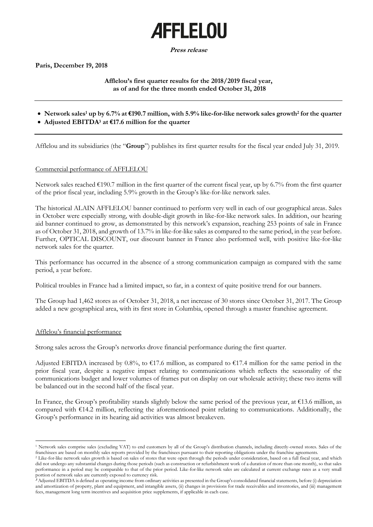# **AFFLELOU**

**Press release**

**Paris, December 19, 2018**

# **Afflelou's first quarter results for the 2018/2019 fiscal year, as of and for the three month ended October 31, 2018**

• **Network sales<sup>1</sup> up by 6.7% at €190.7 million, with 5.9% like-for-like network sales growth<sup>2</sup> for the quarter**

# • **Adjusted EBITDA<sup>3</sup> at €17.6 million for the quarter**

Afflelou and its subsidiaries (the "**Group**") publishes its first quarter results for the fiscal year ended July 31, 2019.

## Commercial performance of AFFLELOU

Network sales reached €190.7 million in the first quarter of the current fiscal year, up by 6.7% from the first quarter of the prior fiscal year, including 5.9% growth in the Group's like-for-like network sales.

The historical ALAIN AFFLELOU banner continued to perform very well in each of our geographical areas. Sales in October were especially strong, with double-digit growth in like-for-like network sales. In addition, our hearing aid banner continued to grow, as demonstrated by this network's expansion, reaching 253 points of sale in France as of October 31, 2018, and growth of 13.7% in like-for-like sales as compared to the same period, in the year before. Further, OPTICAL DISCOUNT, our discount banner in France also performed well, with positive like-for-like network sales for the quarter.

This performance has occurred in the absence of a strong communication campaign as compared with the same period, a year before.

Political troubles in France had a limited impact, so far, in a context of quite positive trend for our banners.

The Group had 1,462 stores as of October 31, 2018, a net increase of 30 stores since October 31, 2017. The Group added a new geographical area, with its first store in Columbia, opened through a master franchise agreement.

## Afflelou's financial performance

 $\overline{a}$ 

Strong sales across the Group's networks drove financial performance during the first quarter.

Adjusted EBITDA increased by 0.8%, to  $\epsilon$ 17.6 million, as compared to  $\epsilon$ 17.4 million for the same period in the prior fiscal year, despite a negative impact relating to communications which reflects the seasonality of the communications budget and lower volumes of frames put on display on our wholesale activity; these two items will be balanced out in the second half of the fiscal year.

In France, the Group's profitability stands slightly below the same period of the previous year, at  $\epsilon$ 13.6 million, as compared with €14.2 million, reflecting the aforementioned point relating to communications. Additionally, the Group's performance in its hearing aid activities was almost breakeven.

<sup>1</sup> Network sales comprise sales (excluding VAT) to end customers by all of the Group's distribution channels, including directly-owned stores. Sales of the franchisees are based on monthly sales reports provided by the franchisees pursuant to their reporting obligations under the franchise agreements.

<sup>&</sup>lt;sup>2</sup> Like-for-like network sales growth is based on sales of stores that were open through the periods under consideration, based on a full fiscal year, and which did not undergo any substantial changes during those periods (such as construction or refurbishment work of a duration of more than one month), so that sales performance in a period may be comparable to that of the prior period. Like-for-like network sales are calculated at current exchange rates as a very small portion of network sales are currently exposed to currency risk.

**<sup>3</sup>** Adjusted EBITDA is defined as operating income from ordinary activities as presented in the Group's consolidated financial statements, before (i) depreciation and amortization of property, plant and equipment, and intangible assets, (ii) changes in provisions for trade receivables and inventories, and (iii) management fees, management long term incentives and acquisition price supplements, if applicable in each case.